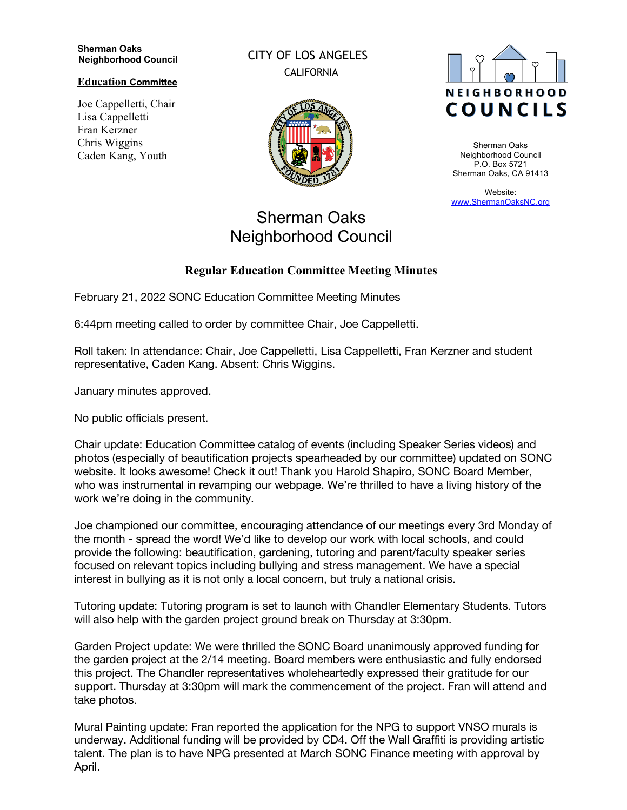## **Sherman Oaks Neighborhood Council**

**Education Committee**

Joe Cappelletti, Chair Lisa Cappelletti Fran Kerzner Chris Wiggins Caden Kang, Youth

CITY OF LOS ANGELES CALIFORNIA



## Sherman Oaks Neighborhood Council

## **Regular Education Committee Meeting Minutes**

February 21, 2022 SONC Education Committee Meeting Minutes

6:44pm meeting called to order by committee Chair, Joe Cappelletti.

Roll taken: In attendance: Chair, Joe Cappelletti, Lisa Cappelletti, Fran Kerzner and student representative, Caden Kang. Absent: Chris Wiggins.

January minutes approved.

No public officials present.

Chair update: Education Committee catalog of events (including Speaker Series videos) and photos (especially of beautification projects spearheaded by our committee) updated on SONC website. It looks awesome! Check it out! Thank you Harold Shapiro, SONC Board Member, who was instrumental in revamping our webpage. We're thrilled to have a living history of the work we're doing in the community.

Joe championed our committee, encouraging attendance of our meetings every 3rd Monday of the month - spread the word! We'd like to develop our work with local schools, and could provide the following: beautification, gardening, tutoring and parent/faculty speaker series focused on relevant topics including bullying and stress management. We have a special interest in bullying as it is not only a local concern, but truly a national crisis.

Tutoring update: Tutoring program is set to launch with Chandler Elementary Students. Tutors will also help with the garden project ground break on Thursday at 3:30pm.

Garden Project update: We were thrilled the SONC Board unanimously approved funding for the garden project at the 2/14 meeting. Board members were enthusiastic and fully endorsed this project. The Chandler representatives wholeheartedly expressed their gratitude for our support. Thursday at 3:30pm will mark the commencement of the project. Fran will attend and take photos.

Mural Painting update: Fran reported the application for the NPG to support VNSO murals is underway. Additional funding will be provided by CD4. Off the Wall Graffiti is providing artistic talent. The plan is to have NPG presented at March SONC Finance meeting with approval by April.



Sherman Oaks Neighborhood Council P.O. Box 5721 Sherman Oaks, CA 91413

Website: www.ShermanOaksNC.org